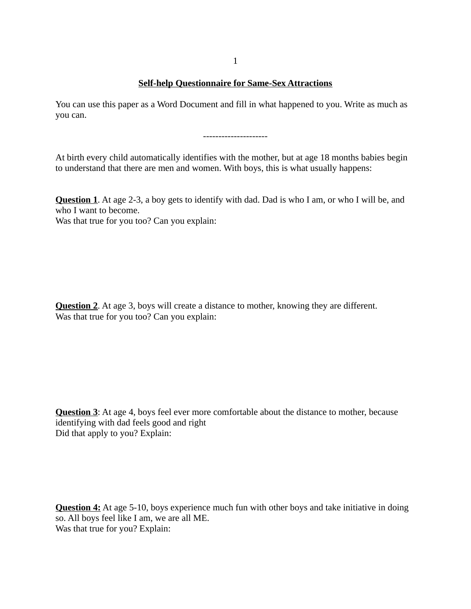1

## **Self-help Questionnaire for Same-Sex Attractions**

You can use this paper as a Word Document and fill in what happened to you. Write as much as you can.

---------------------

At birth every child automatically identifies with the mother, but at age 18 months babies begin to understand that there are men and women. With boys, this is what usually happens:

**Question 1**. At age 2-3, a boy gets to identify with dad. Dad is who I am, or who I will be, and who I want to become.

Was that true for you too? Can you explain:

**Question 2**. At age 3, boys will create a distance to mother, knowing they are different. Was that true for you too? Can you explain:

**Question 3**: At age 4, boys feel ever more comfortable about the distance to mother, because identifying with dad feels good and right Did that apply to you? Explain:

**Question 4:** At age 5-10, boys experience much fun with other boys and take initiative in doing so. All boys feel like I am, we are all ME. Was that true for you? Explain: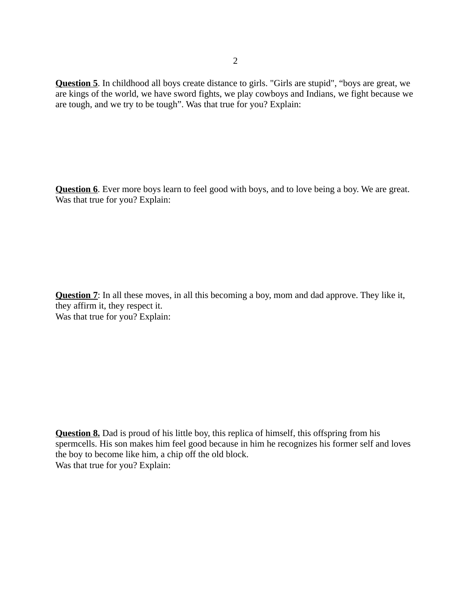**Question 5**. In childhood all boys create distance to girls. "Girls are stupid", "boys are great, we are kings of the world, we have sword fights, we play cowboys and Indians, we fight because we are tough, and we try to be tough". Was that true for you? Explain:

**Question 6**. Ever more boys learn to feel good with boys, and to love being a boy. We are great. Was that true for you? Explain:

**Question 7**: In all these moves, in all this becoming a boy, mom and dad approve. They like it, they affirm it, they respect it. Was that true for you? Explain:

**Question 8.** Dad is proud of his little boy, this replica of himself, this offspring from his spermcells. His son makes him feel good because in him he recognizes his former self and loves the boy to become like him, a chip off the old block. Was that true for you? Explain: